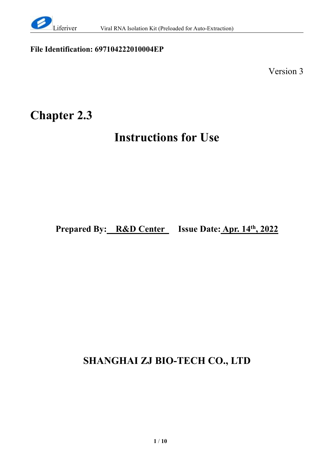

#### **File Identification: 697104222010004EP**

Version 3

# **Chapter 2.3**

# **Instructions for Use**

**Prepared By: R&D Center Issue Date: Apr. 14 th , 2022**

# **SHANGHAI ZJ BIO-TECH CO., LTD**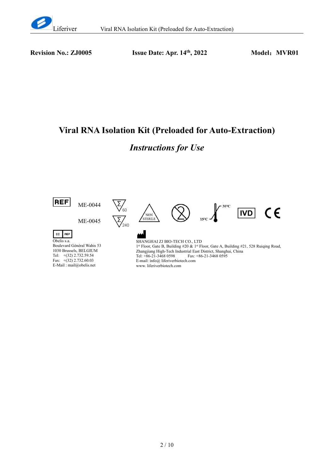

**Revision No.: ZJ0005 Issue Date: Apr. 14 th**

**, 2022 Model**:**MVR01**

## **Viral RNA Isolation Kit (Preloaded for Auto-Extraction)**

## *Instructions for Use*

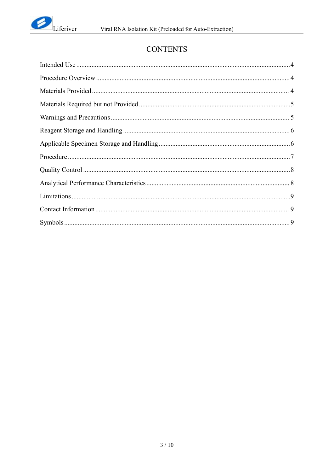

## **CONTENTS**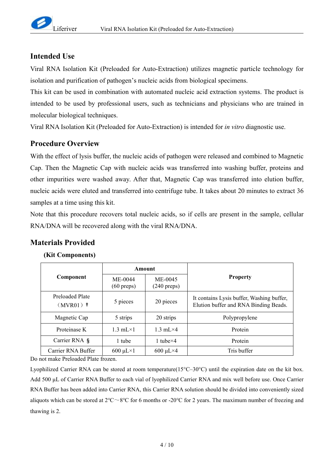#### <span id="page-3-0"></span>**Intended Use**

Viral RNA Isolation Kit (Preloaded for Auto-Extraction) utilizes magnetic particle technology for isolation and purification of pathogen's nucleic acids from biological specimens.

This kit can be used in combination with automated nucleic acid extraction systems. The product is intended to be used by professional users, such as technicians and physicians who are trained in molecular biological techniques.

Viral RNA Isolation Kit (Preloaded for Auto-Extraction) is intended for *in vitro* diagnostic use.

#### <span id="page-3-1"></span>**Procedure Overview**

With the effect of lysis buffer, the nucleic acids of pathogen were released and combined to Magnetic Cap. Then the Magnetic Cap with nucleic acids was transferred into washing buffer, proteins and other impurities were washed away. After that, Magnetic Cap was transferred into elution buffer, nucleic acids were eluted and transferred into centrifuge tube. It takes about 20 minutes to extract 36 samples at a time using this kit.

Note that this procedure recovers total nucleic acids, so if cells are present in the sample, cellular RNA/DNA will be recovered along with the viral RNA/DNA.

#### <span id="page-3-2"></span>**Materials Provided**

|                                | Amount                            |                                  |                                                                                    |
|--------------------------------|-----------------------------------|----------------------------------|------------------------------------------------------------------------------------|
| Component                      | $ME-0044$<br>$(60 \text{ preps})$ | ME-0045<br>$(240 \text{ preps})$ | <b>Property</b>                                                                    |
| Preloaded Plate<br>$(MVR01)$ † | 5 pieces                          | 20 pieces                        | It contains Lysis buffer, Washing buffer,<br>Elution buffer and RNA Binding Beads. |
| Magnetic Cap                   | 5 strips                          | 20 strips                        | Polypropylene                                                                      |
| Proteinase K                   | $1.3$ mL $\times$ 1               | $1.3 \text{ mL} \times 4$        | Protein                                                                            |
| Carrier RNA §                  | 1 tube                            | 1 tube $\times$ 4                | Protein                                                                            |
| Carrier RNA Buffer             | $600 \mu L \times 1$              | $600 \mu L \times 4$             | Tris buffer                                                                        |

#### **(Kit Components)**

Do not make Preloaded Plate frozen.

Lyophilized Carrier RNA can be stored at room temperature(15°C–30°C) until the expiration date on the kit box. Add 500 μL of Carrier RNA Buffer to each vial of lyophilized Carrier RNA and mix well before use. Once Carrier RNA Buffer has been added into Carrier RNA, this Carrier RNA solution should be divided into conveniently sized aliquots which can be stored at 2℃~8℃ for 6 months or-20℃ for 2 years. The maximum number of freezing and thawing is 2.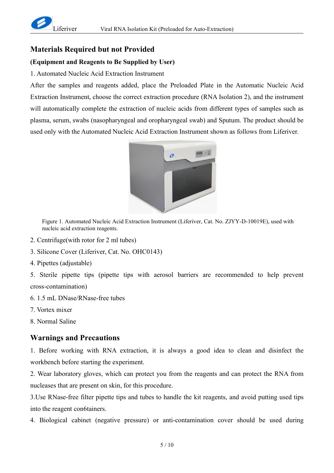

#### <span id="page-4-0"></span>**Materials Required but not Provided**

#### **(Equipment and Reagents to Be Supplied by User)**

1. Automated Nucleic Acid Extraction Instrument

After the samples and reagents added, place the Preloaded Plate in the Automatic Nucleic Acid Extraction Instrument, choose the correct extraction procedure (RNA Isolation 2), and the instrument will automatically complete the extraction of nucleic acids from different types of samples such as plasma, serum, swabs (nasopharyngeal and oropharyngeal swab) and Sputum. The product should be used only with the Automated Nucleic Acid Extraction Instrument shown as follows from Liferiver.



Figure 1. Automated Nucleic Acid Extraction Instrument (Liferiver, Cat. No. ZJYY-D-10019E), used with nucleic acid extraction reagents.

- 2. Centrifuge(with rotor for 2 ml tubes)
- 3. Silicone Cover (Liferiver, Cat. No. OHC0143)
- 4. Pipettes (adjustable)

5. Sterile pipette tips (pipette tips with aerosol barriers are recommended to help prevent cross-contamination)

- 6. 1.5 mL DNase/RNase-free tubes
- 7. Vortex mixer
- 8. Normal Saline

#### <span id="page-4-1"></span>**Warnings and Precautions**

1. Before working with RNA extraction, it is always a good idea to clean and disinfect the workbench before starting the experiment.

2. Wear laboratory gloves, which can protect you from the reagents and can protect the RNA from nucleases that are present on skin, for this procedure.

3.Use RNase-free filter pipette tips and tubes to handle the kit reagents, and avoid putting used tips into the reagent con6tainers.

4. Biological cabinet (negative pressure) or anti-contamination cover should be used during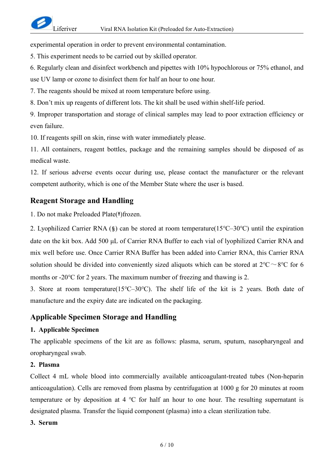experimental operation in order to prevent environmental contamination.

5. This experiment needs to be carried out by skilled operator.

6. Regularly clean and disinfect workbench and pipettes with 10% hypochlorous or 75% ethanol, and

use UV lamp or ozone to disinfect them for half an hour to one hour.

7. The reagents should be mixed at room temperature before using.

8. Don't mix up reagents of different lots. The kit shall be used within shelf-life period.

9. Improper transportation and storage of clinical samples may lead to poor extraction efficiency or even failure.

10. If reagents spill on skin, rinse with water immediately please.

11. All containers, reagent bottles, package and the remaining samples should be disposed of as medical waste.

12. If serious adverse events occur during use, please contact the manufacturer or the relevant competent authority, which is one of the Member State where the user is based.

#### <span id="page-5-0"></span>**Reagent Storage and Handling**

1. Do not make Preloaded Plate(**†**)frozen.

2. Lyophilized CarrierRNA (**§**) can be stored at room temperature(15℃–30℃) until the expiration date on the kit box. Add 500 μL of Carrier RNA Buffer to each vial of lyophilized Carrier RNA and mix well before use. Once Carrier RNA Buffer has been added into Carrier RNA, this Carrier RNA solution should be divided into conveniently sized aliquots which can be stored at  $2^{\circ}C \sim 8^{\circ}C$  for 6 months or -20 $\degree$ C for 2 years. The maximum number of freezing and thawing is 2.

3. Store at room temperature(15℃–30℃). The shelf life of the kit is 2 years. Both date of manufacture and the expiry date are indicated on the packaging.

#### <span id="page-5-1"></span>**Applicable Specimen Storage and Handling**

#### **1. Applicable Specimen**

The applicable specimens of the kit are as follows: plasma, serum, sputum, nasopharyngeal and oropharyngeal swab.

#### **2. Plasma**

Collect 4 mL whole blood into commercially available anticoagulant-treated tubes (Non-heparin anticoagulation). Cells are removed from plasma by centrifugation at 1000 g for 20 minutes at room temperature or by deposition at 4 ℃ for half an hour to one hour. The resulting supernatant is designated plasma. Transfer the liquid component (plasma) into a clean sterilization tube.

#### **3. Serum**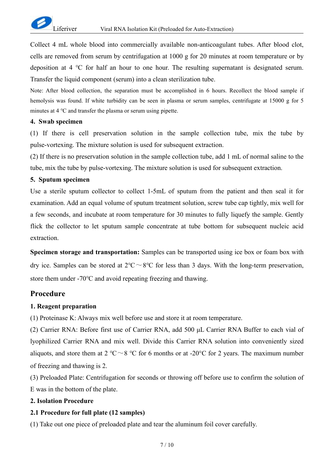

Collect 4 mL whole blood into commercially available non-anticoagulant tubes. After blood clot, cells are removed from serum by centrifugation at 1000 g for 20 minutes at room temperature or by deposition at 4 ℃ for half an hour to one hour. The resulting supernatant is designated serum. Transfer the liquid component (serum) into a clean sterilization tube.

Note: After blood collection, the separation must be accomplished in 6 hours. Recollect the blood sample if hemolysis was found. If white turbidity can be seen in plasma or serum samples, centrifugate at 15000 g for 5 minutes at 4 ℃ and transfer the plasma or serum using pipette.

#### **4. Swab specimen**

(1) If there is cell preservation solution in the sample collection tube, mix the tube by pulse-vortexing. The mixture solution is used for subsequent extraction.

(2) If there is no preservation solution in the sample collection tube, add 1 mL of normal saline to the tube, mix the tube by pulse-vortexing. The mixture solution is used for subsequent extraction.

#### **5. Sputum specimen**

Use a sterile sputum collector to collect 1-5mL of sputum from the patient and then seal it for examination. Add an equal volume of sputum treatment solution, screw tube cap tightly, mix well for a few seconds, and incubate at room temperature for 30 minutes to fully liquefy the sample. Gently flick the collector to let sputum sample concentrate at tube bottom for subsequent nucleic acid extraction.

**Specimen storage and transportation:** Samples can be transported using ice box or foam box with dry ice. Samples can be stored at  $2^{\circ}C \sim 8^{\circ}C$  for less than 3 days. With the long-term preservation, store them under -70°C and avoid repeating freezing and thawing.

#### <span id="page-6-0"></span>**Procedure**

#### **1. Reagent preparation**

(1) Proteinase K: Always mix well before use and store it at room temperature.

(2) Carrier RNA: Before first use of Carrier RNA, add 500 μL Carrier RNA Buffer to each vial of lyophilized Carrier RNA and mix well. Divide this Carrier RNA solution into conveniently sized aliquots, and store them at 2 °C ~ 8 °C for 6 months or at -20°C for 2 years. The maximum number of freezing and thawing is 2.

(3) Preloaded Plate: Centrifugation for seconds or throwing off before use to confirm the solution of E was in the bottom of the plate.

#### **2. Isolation Procedure**

#### **2.1 Procedure for fullplate (12 samples)**

(1) Take out one piece of preloaded plate and tear the aluminum foil cover carefully.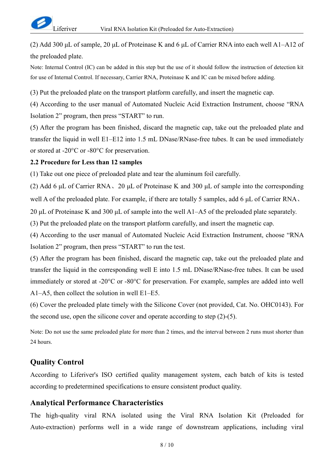(2) Add 300 μL of sample, 20 μL of Proteinase K and 6 μL of Carrier RNA into each well A1–A12 of the preloaded plate.

Note: Internal Control (IC) can be added in this step but the use of it should follow the instruction of detection kit for use of Internal Control. If necessary, Carrier RNA, Proteinase K and IC can be mixed before adding.

(3) Put the preloaded plate on the transport platform carefully, and insert the magnetic cap.

(4) According to the user manual of Automated Nucleic Acid Extraction Instrument, choose "RNA Isolation 2" program, then press "START" to run.

(5) After the program has been finished, discard the magnetic cap, take out the preloaded plate and transfer the liquid in well E1–E12 into 1.5 mL DNase/RNase-free tubes. It can be used immediately or stored at -20°C or -80°C for preservation.

#### **2.2 Procedure for Less than 12 samples**

(1) Take out one piece of preloaded plate and tear the aluminum foil carefully.

(2) Add 6 μL of Carrier RNA、20 μL of Proteinase K and 300 μL of sample into the corresponding

well A of the preloaded plate. For example, if there are totally 5 samples, add 6 μL of Carrier RNA、

20 μL of Proteinase K and 300 μL of sample into the well A1–A5 of the preloaded plate separately.

(3) Put the preloaded plate on the transport platform carefully, and insert the magnetic cap.

(4) According to the user manual of Automated Nucleic Acid Extraction Instrument, choose "RNA Isolation 2" program, then press "START" to run the test.

(5) After the program has been finished, discard the magnetic cap, take out the preloaded plate and transfer the liquid in the corresponding well E into 1.5 mL DNase/RNase-free tubes. It can be used immediately or stored at -20°C or -80°C for preservation. For example, samples are added into well A1–A5, then collect the solution in well E1–E5.

(6) Cover the preloaded plate timely with the Silicone Cover (not provided, Cat. No. OHC0143). For the second use, open the silicone cover and operate according to step (2)-(5).

Note: Do not use the same preloaded plate for more than 2 times, and the interval between 2 runs must shorter than 24 hours.

#### <span id="page-7-0"></span>**Quality Control**

According to Liferiver's ISO certified quality management system, each batch of kits is tested according to predetermined specifications to ensure consistent product quality.

#### <span id="page-7-1"></span>**Analytical Performance Characteristics**

The high-quality viral RNA isolated using the Viral RNA Isolation Kit (Preloaded for Auto-extraction) performs well in a wide range of downstream applications, including viral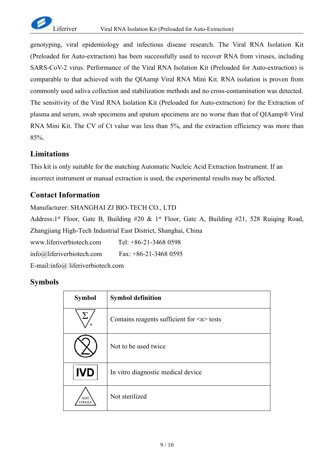

genotyping, viral epidemiology and infectious disease research. The Viral RNA Isolation Kit (Preloaded for Auto-extraction) has been successfully used to recover RNA from viruses, including SARS-CoV-2 virus. Performance of the Viral RNA Isolation Kit (Preloaded for Auto-extraction) is comparable to that achieved with the QIAamp Viral RNA Mini Kit. RNA isolation is proven from commonly used saliva collection and stabilization methods and no cross-contamination was detected. The sensitivity of the Viral RNA Isolation Kit (Preloaded for Auto-extraction) for the Extraction of plasma and serum, swab specimens and sputum specimens are no worse than that of QIAamp® Viral RNA Mini Kit. The CV of Ct value was less than 5%, and the extraction efficiency was more than 85%.

#### <span id="page-8-0"></span>**Limitations**

This kit is only suitable for the matching Automatic Nucleic Acid Extraction Instrument. If an incorrect instrument or manual extraction is used, the experimental results may be affected.

#### <span id="page-8-1"></span>**Contact Information**

Manufacturer: SHANGHAI ZJ BIO-TECH CO., LTD Address:1<sup>st</sup> Floor, Gate B, Building #20 & 1<sup>st</sup> Floor, Gate A, Building #21, 528 Ruiqing Road, Zhangjiang High-Tech Industrial East District, Shanghai, China www.liferiverbiotech.com Tel: +86-21-3468 0598 info@liferiverbiotech.com Fax: +86-21-3468 0595 E-mail:info@ liferiverbiotech.com

#### <span id="page-8-2"></span>**Symbols**

| <b>Symbol</b>               | <b>Symbol definition</b>                        |
|-----------------------------|-------------------------------------------------|
| n                           | Contains reagents sufficient for $\leq n$ tests |
|                             | Not to be used twice                            |
| <b>IVD</b>                  | In vitro diagnostic medical device              |
| <b>NON</b><br><b>TERILE</b> | Not sterilized                                  |